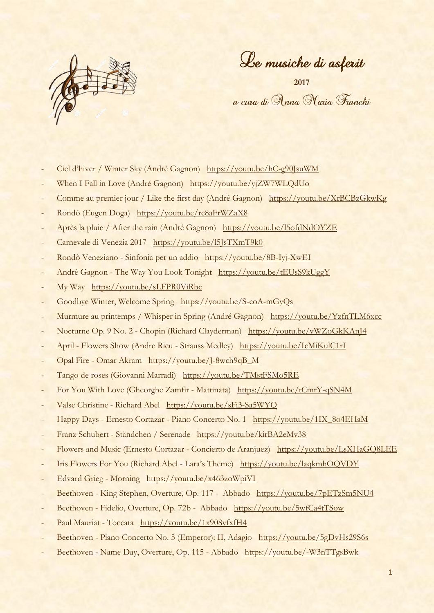

Le musiche di asferit

**2017** a cura di Anna Maria Franchi

- Ciel d'hiver / Winter Sky (André Gagnon) <https://youtu.be/hC-g90JsuWM>
- When I Fall in Love (André Gagnon) <https://youtu.be/yjZW7WLQdUo>
- Comme au premier jour / Like the first day (André Gagnon) <https://youtu.be/XrBCBzGkwKg>
- Rondò (Eugen Doga) <https://youtu.be/re8aFrWZaX8>
- Après la pluie / After the rain (André Gagnon) <https://youtu.be/l5ofdNdOYZE>
- Carnevale di Venezia 2017 <https://youtu.be/l5JsTXmT9k0>
- Rondò Veneziano Sinfonia per un addio <https://youtu.be/8B-Iyj-XwEI>
- André Gagnon The Way You Look Tonight <https://youtu.be/tEUsS9kUggY>
- My Way <https://youtu.be/sLFPR0ViRbc>
- Goodbye Winter, Welcome Spring <https://youtu.be/S-coA-mGyQs>
- Murmure au printemps / Whisper in Spring (André Gagnon) <https://youtu.be/YzfnTLM6xcc>
- Nocturne Op. 9 No. 2 Chopin (Richard Clayderman) <https://youtu.be/vWZoGkKAnJ4>
- April Flowers Show (Andre Rieu Strauss Medley) <https://youtu.be/IcMiKulC1rI>
- Opal Fire Omar Akram [https://youtu.be/J-8wch9qB\\_M](https://youtu.be/J-8wch9qB_M)
- Tango de roses (Giovanni Marradi) <https://youtu.be/TMstFSMo5RE>
- For You With Love (Gheorghe Zamfir Mattinata) <https://youtu.be/tCmrY-qSN4M>
- Valse Christine Richard Abel <https://youtu.be/sFi3-Sa5WYQ>
- Happy Days Ernesto Cortazar Piano Concerto No. 1 [https://youtu.be/1IX\\_8o4EHaM](https://youtu.be/1IX_8o4EHaM)
- Franz Schubert Ständchen / Serenade <https://youtu.be/kirBA2eMv38>
- Flowers and Music (Ernesto Cortazar Concierto de Aranjuez) <https://youtu.be/LsXHaGQ8LEE>
- Iris Flowers For You (Richard Abel Lara's Theme) <https://youtu.be/laqkmhOQVDY>
- Edvard Grieg Morning <https://youtu.be/x463zoWpiVI>
- Beethoven King Stephen, Overture, Op. 117 Abbado <https://youtu.be/7pETzSm5NU4>
- Beethoven Fidelio, Overture, Op. 72b Abbado <https://youtu.be/5wfCa4tTSow>
- Paul Mauriat Toccata <https://youtu.be/1x908vfxfH4>
- Beethoven Piano Concerto No. 5 (Emperor): II, Adagio <https://youtu.be/5gDvHs29S6s>
- Beethoven Name Day, Overture, Op. 115 Abbado <https://youtu.be/-W3nTTgsBwk>